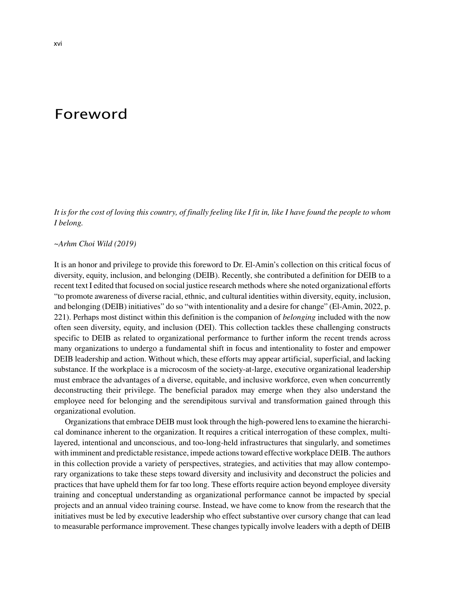## Foreword

*It is for the cost of loving this country, of finally feeling like I fit in, like I have found the people to whom I belong.*

## *~Arhm Choi Wild (2019)*

It is an honor and privilege to provide this foreword to Dr. El-Amin's collection on this critical focus of diversity, equity, inclusion, and belonging (DEIB). Recently, she contributed a definition for DEIB to a recent text I edited that focused on social justice research methods where she noted organizational efforts "to promote awareness of diverse racial, ethnic, and cultural identities within diversity, equity, inclusion, and belonging (DEIB) initiatives" do so "with intentionality and a desire for change" (El-Amin, 2022, p. 221). Perhaps most distinct within this definition is the companion of *belonging* included with the now often seen diversity, equity, and inclusion (DEI). This collection tackles these challenging constructs specific to DEIB as related to organizational performance to further inform the recent trends across many organizations to undergo a fundamental shift in focus and intentionality to foster and empower DEIB leadership and action. Without which, these efforts may appear artificial, superficial, and lacking substance. If the workplace is a microcosm of the society-at-large, executive organizational leadership must embrace the advantages of a diverse, equitable, and inclusive workforce, even when concurrently deconstructing their privilege. The beneficial paradox may emerge when they also understand the employee need for belonging and the serendipitous survival and transformation gained through this organizational evolution.

Organizationsthat embrace DEIB must look through the high-powered lensto examine the hierarchical dominance inherent to the organization. It requires a critical interrogation of these complex, multilayered, intentional and unconscious, and too-long-held infrastructures that singularly, and sometimes with imminent and predictable resistance, impede actionstoward effective workplace DEIB. The authors in this collection provide a variety of perspectives, strategies, and activities that may allow contemporary organizations to take these steps toward diversity and inclusivity and deconstruct the policies and practices that have upheld them for far too long. These efforts require action beyond employee diversity training and conceptual understanding as organizational performance cannot be impacted by special projects and an annual video training course. Instead, we have come to know from the research that the initiatives must be led by executive leadership who effect substantive over cursory change that can lead to measurable performance improvement. These changes typically involve leaders with a depth of DEIB